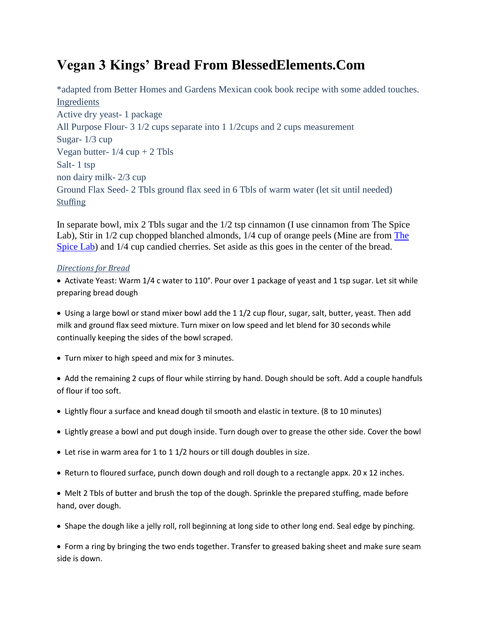# **Vegan 3 Kings' Bread From BlessedElements.Com**

\*adapted from Better Homes and Gardens Mexican cook book recipe with some added touches. Ingredients Active dry yeast- 1 package All Purpose Flour- 3 1/2 cups separate into 1 1/2cups and 2 cups measurement Sugar- 1/3 cup Vegan butter-  $1/4$  cup + 2 Tbls Salt- 1 tsp non dairy milk- 2/3 cup Ground Flax Seed- 2 Tbls ground flax seed in 6 Tbls of warm water (let sit until needed) **Stuffing** 

In separate bowl, mix 2 Tbls sugar and the 1/2 tsp cinnamon (I use cinnamon from The Spice Lab), Stir in 1/2 cup chopped blanched almonds, 1/4 cup of orange peels (Mine are from [The](https://blessedelements.com/quality-spices-t…-make-dishes-hum)  [Spice Lab\)](https://blessedelements.com/quality-spices-t…-make-dishes-hum) and  $1/4$  cup candied cherries. Set aside as this goes in the center of the bread.

## *Directions for Bread*

• Activate Yeast: Warm 1/4 c water to 110°. Pour over 1 package of yeast and 1 tsp sugar. Let sit while preparing bread dough

 Using a large bowl or stand mixer bowl add the 1 1/2 cup flour, sugar, salt, butter, yeast. Then add milk and ground flax seed mixture. Turn mixer on low speed and let blend for 30 seconds while continually keeping the sides of the bowl scraped.

Turn mixer to high speed and mix for 3 minutes.

• Add the remaining 2 cups of flour while stirring by hand. Dough should be soft. Add a couple handfuls of flour if too soft.

- Lightly flour a surface and knead dough til smooth and elastic in texture. (8 to 10 minutes)
- Lightly grease a bowl and put dough inside. Turn dough over to grease the other side. Cover the bowl
- Let rise in warm area for 1 to 1 1/2 hours or till dough doubles in size.
- Return to floured surface, punch down dough and roll dough to a rectangle appx. 20 x 12 inches.

• Melt 2 Tbls of butter and brush the top of the dough. Sprinkle the prepared stuffing, made before hand, over dough.

• Shape the dough like a jelly roll, roll beginning at long side to other long end. Seal edge by pinching.

 Form a ring by bringing the two ends together. Transfer to greased baking sheet and make sure seam side is down.